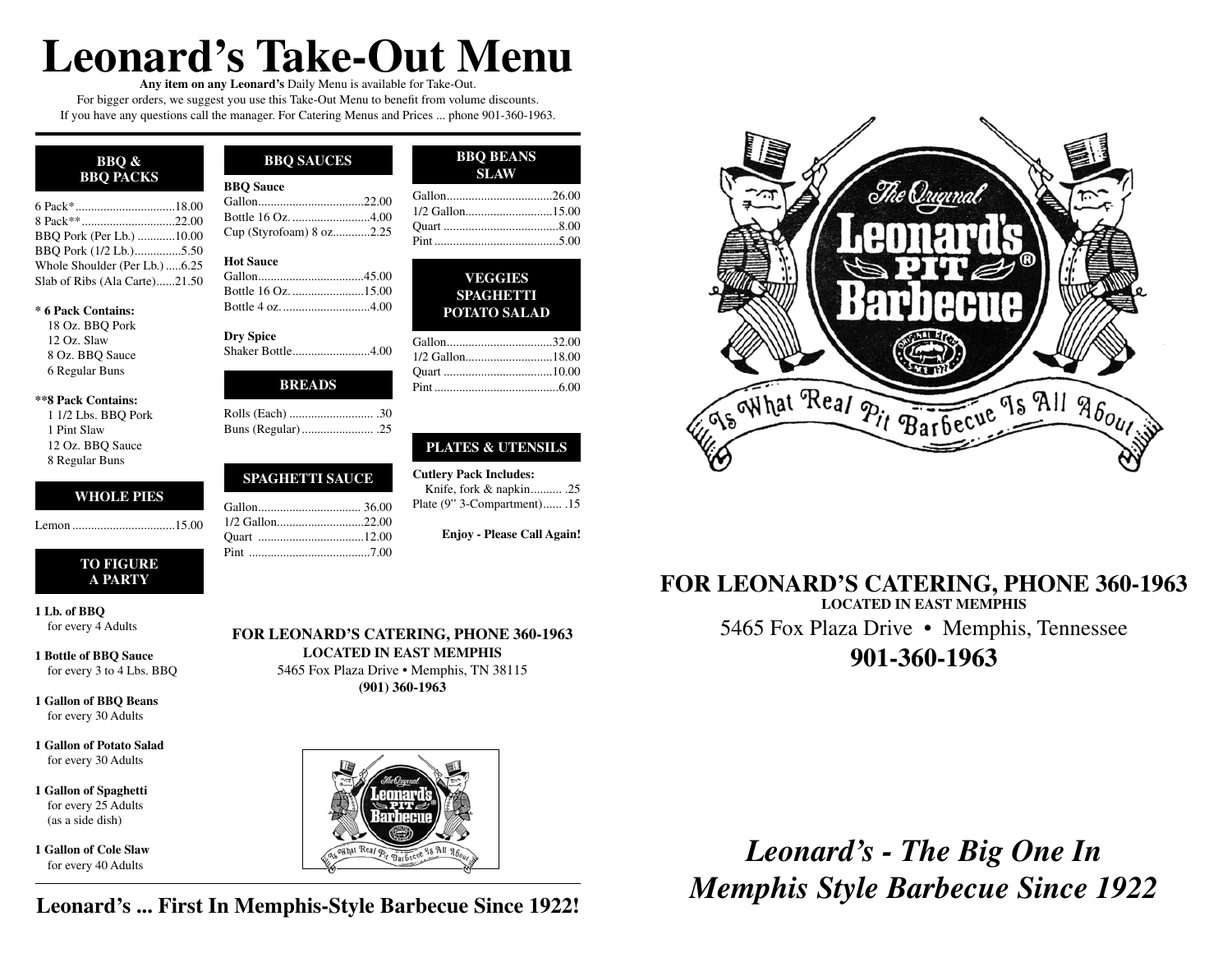# **Leonard's Take-Out Menu**

**Any item on any Leonard's** Daily Menu is available for Take-Out. For bigger orders, we suggest you use this Take-Out Menu to benefit from volume discounts. If you have any questions call the manager. For Catering Menus and Prices ... phone 901-360-1963.

| <b>BBO</b> &<br><b>BBO PACKS</b> | <b>B</b> |
|----------------------------------|----------|
|                                  | G:       |
|                                  | Β        |
| BBQ Pork (Per Lb.) 10.00         | Сı       |
| BBQ Pork (1/2 Lb.)5.50           |          |
| Whole Shoulder (Per Lb.)6.25     | H        |
| Slab of Ribs (Ala Carte)21.50    | G        |

#### **\* 6 Pack Contains:**

18 Oz. BBQ Pork 12 Oz. Slaw 8 Oz. BBQ Sauce 6 Regular Buns

#### **\*\*8 Pack Contains:**

1 1/2 Lbs. BBQ Pork 1 Pint Slaw 12 Oz. BBQ Sauce 8 Regular Buns

### **WHOLE PIES**

Lemon .................................15.00

### **TO FIGURE A PARTY**

**1 Lb. of BBQ** for every 4 Adults

**1 Bottle of BBQ Sauce** for every 3 to 4 Lbs. BBQ

**1 Gallon of BBQ Beans** for every 30 Adults

**1 Gallon of Potato Salad** for every 30 Adults

**1 Gallon of Spaghetti** for every 25 Adults (as a side dish)

**1 Gallon of Cole Slaw** for every 40 Adults

### **BBQ SAUCES BBQ BEANS BBQ Sauce** Gallon..................................22.00 ottle 16 Oz. ...........................4.00 Cup (Styrofoam) 8 oz............2.25

### **Iot Sauce**

**Dry Spice** Shaker Bottle.........................4.00

### **BREADS**

### **SPAGHETTI SAUCE**

**FOR LEONARD'S CATERING, PHONE 360-1963 LOCATED IN EAST MEMPHIS** 5465 Fox Plaza Drive • Memphis, TN 38115 **(901) 360-1963**



**Leonard's ... First In Memphis-Style Barbecue Since 1922!**

| <b>BBO BEANS</b><br><b>SLAW</b> |  |
|---------------------------------|--|
|                                 |  |
|                                 |  |
|                                 |  |
|                                 |  |

| VEGGIES             |  |
|---------------------|--|
| <b>SPAGHETTI</b>    |  |
| <b>POTATO SALAD</b> |  |

| Gallon32.00 |  |
|-------------|--|
|             |  |
|             |  |
|             |  |

### **PLATES & UTENSILS**

**Cutlery Pack Includes:** Knife, fork & napkin.......... .25 Plate (9" 3-Compartment)...... .15

**Enjoy - Please Call Again!**



## **FOR LEONARD'S CATERING, PHONE 360-1963 LOCATED IN EAST MEMPHIS** 5465 Fox Plaza Drive • Memphis, Tennessee **901-360-1963**

*Leonard's - The Big One In Memphis Style Barbecue Since 1922*